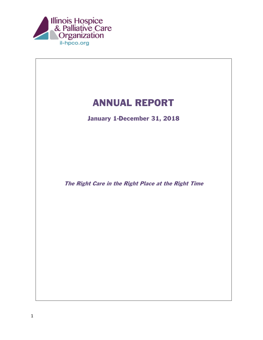

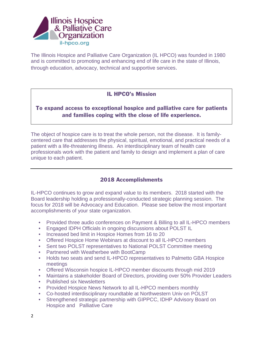

The Illinois Hospice and Palliative Care Organization (IL HPCO) was founded in 1980 and is committed to promoting and enhancing end of life care in the state of Illinois, through education, advocacy, technical and supportive services.

### IL HPCO's Mission

# To expand access to exceptional hospice and palliative care for patients and families coping with the close of life experience.

The object of hospice care is to treat the whole person, not the disease. It is familycentered care that addresses the physical, spiritual, emotional, and practical needs of a patient with a life-threatening illness. An interdisciplinary team of health care professionals work with the patient and family to design and implement a plan of care unique to each patient.

# 2018 Accomplishments

IL-HPCO continues to grow and expand value to its members. 2018 started with the Board leadership holding a professionally-conducted strategic planning session. The focus for 2018 will be Advocacy and Education. Please see below the most important accomplishments of your state organization.

- Provided three audio conferences on Payment & Billing to all IL-HPCO members
- Engaged IDPH Officials in ongoing discussions about POLST IL
- Increased bed limit in Hospice Homes from 16 to 20
- Offered Hospice Home Webinars at discount to all IL-HPCO members
- Sent two POLST representatives to National POLST Committee meeting
- Partnered with Weatherbee with BootCamp
- Holds two seats and send IL-HPCO representatives to Palmetto GBA Hospice meetings
- Offered Wisconsin hospice IL-HPCO member discounts through mid 2019
- Maintains a stakeholder Board of Directors, providing over 50% Provider Leaders
- Published six Newsletters
- Provided Hospice News Network to all IL-HPCO members monthly
- Co-hosted interdisciplinary roundtable at Northwestern Univ on POLST
- Strengthened strategic partnership with GIPPCC, IDHP Advisory Board on Hospice and Palliative Care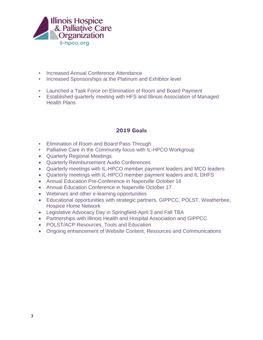

- Increased Annual Conference Attendance
- Increased Sponsorships at the Platinum and Exhibitor level
- Launched a Task Force on Elimination of Room and Board Payment
- Established quarterly meeting with HFS and Illinois Association of Managed Health Plans

## 2019 Goals

- Elimination of Room and Board Pass Through
- Palliative Care in the Community focus with IL-HPCO Workgroup
- Quarterly Regional Meetings
- Quarterly Reimbursement Audio Conferences
- Quarterly meetings with IL-HPCO member payment leaders and MCO leaders
- Quarterly meetings with IL-HPCO member payment leaders and IL DHFS
- Annual Education Pre-Conference in Naperville October 16
- Annual Education Conference in Naperville October 17
- Webinars and other e-learning opportunities
- Educational opportunities with strategic partners, GIPPCC, POLST, Weatherbee, Hospice Home Network
- Legislative Advocacy Day in Springfield-April 3 and Fall TBA
- Partnerships with Illinois Health and Hospital Association and GIPPCC
- POLST/ACP Resources, Tools and Education
- Ongoing enhancement of Website Content, Resources and Communications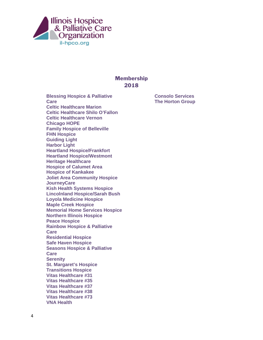

## **Membership** 2018

**Blessing Hospice & Palliative Care Celtic Healthcare Marion Celtic Healthcare Shilo O'Fallon Celtic Healthcare Vernon Chicago HOPE Family Hospice of Belleville FHN Hospice Guiding Light Harbor Light Heartland Hospice/Frankfort Heartland Hospice/Westmont Heritage Healthcare Hospice of Calumet Area Hospice of Kankakee Joliet Area Community Hospice JourneyCare Kish Health Systems Hospice Lincolnland Hospice/Sarah Bush Loyola Medicine Hospice Maple Creek Hospice Memorial Home Services Hospice Northern Illinois Hospice Peace Hospice Rainbow Hospice & Palliative Care Residential Hospice Safe Haven Hospice Seasons Hospice & Palliative Care Serenity St. Margaret's Hospice Transitions Hospice Vitas Healthcare #31 Vitas Healthcare #35 Vitas Healthcare #37 Vitas Healthcare #38 Vitas Healthcare #73 VNA Health**

**Consolo Services The Horton Group**